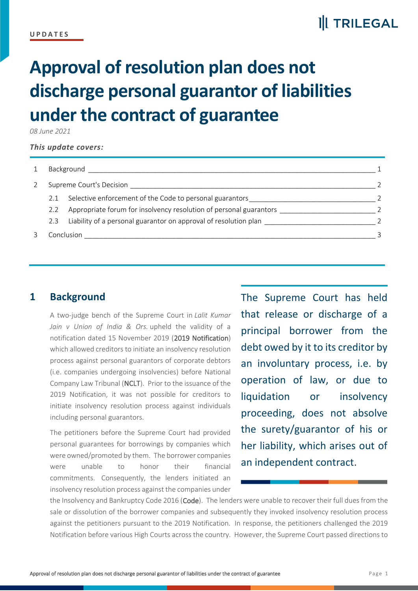# **II** TRILEGAL

# **Approval of resolution plan does not discharge personal guarantor of liabilities under the contract of guarantee**

*08 June 2021*

*This update covers:*

|  |                          | Background                                                         |  |
|--|--------------------------|--------------------------------------------------------------------|--|
|  | Supreme Court's Decision |                                                                    |  |
|  | 2.1                      | Selective enforcement of the Code to personal guarantors           |  |
|  | 2.2                      | Appropriate forum for insolvency resolution of personal guarantors |  |
|  | 2.3                      | Liability of a personal guarantor on approval of resolution plan   |  |
|  |                          | Conclusion                                                         |  |

## <span id="page-0-0"></span>**1 Background**

A two-judge bench of the Supreme Court in *Lalit Kumar Jain v Union of India & Ors.* upheld the validity of a notification dated 15 November 2019 (2019 Notification) which allowed creditors to initiate an insolvency resolution process against personal guarantors of corporate debtors (i.e. companies undergoing insolvencies) before National Company Law Tribunal (NCLT). Prior to the issuance of the 2019 Notification, it was not possible for creditors to initiate insolvency resolution process against individuals including personal guarantors.

The petitioners before the Supreme Court had provided personal guarantees for borrowings by companies which were owned/promoted by them. The borrower companies were unable to honor their financial commitments. Consequently, the lenders initiated an insolvency resolution process against the companies under The Supreme Court has held that release or discharge of a principal borrower from the debt owed by it to its creditor by an involuntary process, i.e. by operation of law, or due to liquidation or insolvency proceeding, does not absolve the surety/guarantor of his or her liability, which arises out of an independent contract.

the Insolvency and Bankruptcy Code 2016 (Code). The lenders were unable to recover their full dues from the sale or dissolution of the borrower companies and subsequently they invoked insolvency resolution process against the petitioners pursuant to the 2019 Notification. In response, the petitioners challenged the 2019 Notification before various High Courts across the country. However, the Supreme Court passed directions to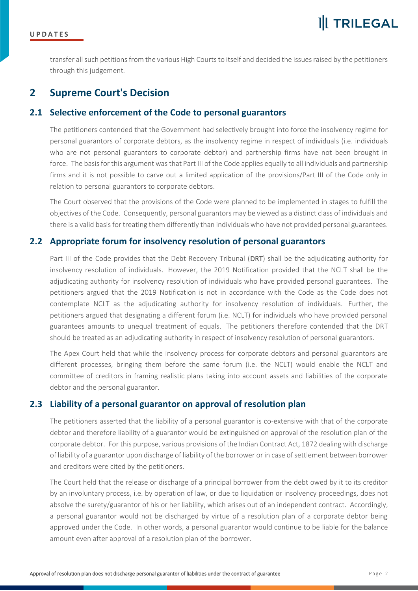transfer all such petitions from the various High Courts to itself and decided the issues raised by the petitioners through this judgement*.*

### <span id="page-1-0"></span>**2 Supreme Court's Decision**

#### <span id="page-1-1"></span>**2.1 Selective enforcement of the Code to personal guarantors**

The petitioners contended that the Government had selectively brought into force the insolvency regime for personal guarantors of corporate debtors, as the insolvency regime in respect of individuals (i.e. individuals who are not personal guarantors to corporate debtor) and partnership firms have not been brought in force. The basis for this argument was that Part III of the Code applies equally to all individuals and partnership firms and it is not possible to carve out a limited application of the provisions/Part III of the Code only in relation to personal guarantors to corporate debtors.

The Court observed that the provisions of the Code were planned to be implemented in stages to fulfill the objectives of the Code. Consequently, personal guarantors may be viewed as a distinct class of individuals and there is a valid basis for treating them differently than individuals who have not provided personal guarantees.

#### <span id="page-1-2"></span>**2.2 Appropriate forum for insolvency resolution of personal guarantors**

Part III of the Code provides that the Debt Recovery Tribunal (DRT) shall be the adjudicating authority for insolvency resolution of individuals. However, the 2019 Notification provided that the NCLT shall be the adjudicating authority for insolvency resolution of individuals who have provided personal guarantees. The petitioners argued that the 2019 Notification is not in accordance with the Code as the Code does not contemplate NCLT as the adjudicating authority for insolvency resolution of individuals. Further, the petitioners argued that designating a different forum (i.e. NCLT) for individuals who have provided personal guarantees amounts to unequal treatment of equals. The petitioners therefore contended that the DRT should be treated as an adjudicating authority in respect of insolvency resolution of personal guarantors.

The Apex Court held that while the insolvency process for corporate debtors and personal guarantors are different processes, bringing them before the same forum (i.e. the NCLT) would enable the NCLT and committee of creditors in framing realistic plans taking into account assets and liabilities of the corporate debtor and the personal guarantor.

#### <span id="page-1-3"></span>**2.3 Liability of a personal guarantor on approval of resolution plan**

The petitioners asserted that the liability of a personal guarantor is co-extensive with that of the corporate debtor and therefore liability of a guarantor would be extinguished on approval of the resolution plan of the corporate debtor. For this purpose, various provisions of the Indian Contract Act, 1872 dealing with discharge of liability of a guarantor upon discharge of liability of the borrower or in case of settlement between borrower and creditors were cited by the petitioners.

The Court held that the release or discharge of a principal borrower from the debt owed by it to its creditor by an involuntary process, i.e. by operation of law, or due to liquidation or insolvency proceedings, does not absolve the surety/guarantor of his or her liability, which arises out of an independent contract. Accordingly, a personal guarantor would not be discharged by virtue of a resolution plan of a corporate debtor being approved under the Code. In other words, a personal guarantor would continue to be liable for the balance amount even after approval of a resolution plan of the borrower.